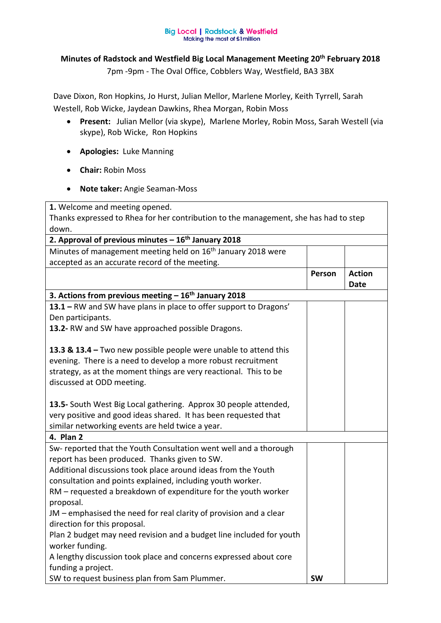## **Big Local | Radstock & Westfield** Making the most of £1 million

## **Minutes of Radstock and Westfield Big Local Management Meeting 20th February 2018**

7pm -9pm - The Oval Office, Cobblers Way, Westfield, BA3 3BX

Dave Dixon, Ron Hopkins, Jo Hurst, Julian Mellor, Marlene Morley, Keith Tyrrell, Sarah Westell, Rob Wicke, Jaydean Dawkins, Rhea Morgan, Robin Moss

- **Present:** Julian Mellor (via skype), Marlene Morley, Robin Moss, Sarah Westell (via skype), Rob Wicke, Ron Hopkins
- **Apologies:** Luke Manning
- **Chair:** Robin Moss
- **Note taker:** Angie Seaman-Moss

**1.** Welcome and meeting opened.

Thanks expressed to Rhea for her contribution to the management, she has had to step down.

| 2. Approval of previous minutes $-16^{th}$ January 2018                  |           |               |
|--------------------------------------------------------------------------|-----------|---------------|
| Minutes of management meeting held on 16 <sup>th</sup> January 2018 were |           |               |
| accepted as an accurate record of the meeting.                           |           |               |
|                                                                          | Person    | <b>Action</b> |
|                                                                          |           | <b>Date</b>   |
| 3. Actions from previous meeting $-16th$ January 2018                    |           |               |
| 13.1 - RW and SW have plans in place to offer support to Dragons'        |           |               |
| Den participants.                                                        |           |               |
| 13.2- RW and SW have approached possible Dragons.                        |           |               |
|                                                                          |           |               |
| 13.3 & 13.4 - Two new possible people were unable to attend this         |           |               |
| evening. There is a need to develop a more robust recruitment            |           |               |
| strategy, as at the moment things are very reactional. This to be        |           |               |
| discussed at ODD meeting.                                                |           |               |
|                                                                          |           |               |
| 13.5- South West Big Local gathering. Approx 30 people attended,         |           |               |
| very positive and good ideas shared. It has been requested that          |           |               |
| similar networking events are held twice a year.                         |           |               |
| 4. Plan 2                                                                |           |               |
| Sw- reported that the Youth Consultation went well and a thorough        |           |               |
| report has been produced. Thanks given to SW.                            |           |               |
| Additional discussions took place around ideas from the Youth            |           |               |
| consultation and points explained, including youth worker.               |           |               |
| RM - requested a breakdown of expenditure for the youth worker           |           |               |
| proposal.                                                                |           |               |
| JM – emphasised the need for real clarity of provision and a clear       |           |               |
| direction for this proposal.                                             |           |               |
| Plan 2 budget may need revision and a budget line included for youth     |           |               |
| worker funding.                                                          |           |               |
| A lengthy discussion took place and concerns expressed about core        |           |               |
| funding a project.                                                       |           |               |
| SW to request business plan from Sam Plummer.                            | <b>SW</b> |               |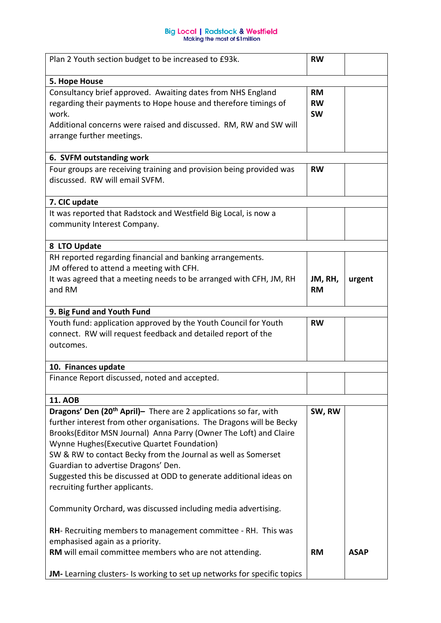## **Big Local | Radstock & Westfield<br>Making the most of £1 million**

| Plan 2 Youth section budget to be increased to £93k.                                                                                                                                                                                                                                                                                                                                                                                                                                     | <b>RW</b>                           |             |
|------------------------------------------------------------------------------------------------------------------------------------------------------------------------------------------------------------------------------------------------------------------------------------------------------------------------------------------------------------------------------------------------------------------------------------------------------------------------------------------|-------------------------------------|-------------|
| 5. Hope House                                                                                                                                                                                                                                                                                                                                                                                                                                                                            |                                     |             |
| Consultancy brief approved. Awaiting dates from NHS England<br>regarding their payments to Hope house and therefore timings of<br>work.<br>Additional concerns were raised and discussed. RM, RW and SW will<br>arrange further meetings.                                                                                                                                                                                                                                                | <b>RM</b><br><b>RW</b><br><b>SW</b> |             |
| 6. SVFM outstanding work                                                                                                                                                                                                                                                                                                                                                                                                                                                                 |                                     |             |
| Four groups are receiving training and provision being provided was<br>discussed. RW will email SVFM.                                                                                                                                                                                                                                                                                                                                                                                    | <b>RW</b>                           |             |
| 7. CIC update                                                                                                                                                                                                                                                                                                                                                                                                                                                                            |                                     |             |
| It was reported that Radstock and Westfield Big Local, is now a<br>community Interest Company.                                                                                                                                                                                                                                                                                                                                                                                           |                                     |             |
| 8 LTO Update                                                                                                                                                                                                                                                                                                                                                                                                                                                                             |                                     |             |
| RH reported regarding financial and banking arrangements.<br>JM offered to attend a meeting with CFH.<br>It was agreed that a meeting needs to be arranged with CFH, JM, RH                                                                                                                                                                                                                                                                                                              | JM, RH,                             |             |
| and RM                                                                                                                                                                                                                                                                                                                                                                                                                                                                                   | <b>RM</b>                           | urgent      |
| 9. Big Fund and Youth Fund                                                                                                                                                                                                                                                                                                                                                                                                                                                               |                                     |             |
| Youth fund: application approved by the Youth Council for Youth<br>connect. RW will request feedback and detailed report of the<br>outcomes.                                                                                                                                                                                                                                                                                                                                             | <b>RW</b>                           |             |
| 10. Finances update                                                                                                                                                                                                                                                                                                                                                                                                                                                                      |                                     |             |
| Finance Report discussed, noted and accepted.                                                                                                                                                                                                                                                                                                                                                                                                                                            |                                     |             |
| <b>11. AOB</b>                                                                                                                                                                                                                                                                                                                                                                                                                                                                           |                                     |             |
| Dragons' Den (20 <sup>th</sup> April)- There are 2 applications so far, with<br>further interest from other organisations. The Dragons will be Becky<br>Brooks(Editor MSN Journal) Anna Parry (Owner The Loft) and Claire<br>Wynne Hughes (Executive Quartet Foundation)<br>SW & RW to contact Becky from the Journal as well as Somerset<br>Guardian to advertise Dragons' Den.<br>Suggested this be discussed at ODD to generate additional ideas on<br>recruiting further applicants. | SW, RW                              |             |
| Community Orchard, was discussed including media advertising.                                                                                                                                                                                                                                                                                                                                                                                                                            |                                     |             |
| RH- Recruiting members to management committee - RH. This was<br>emphasised again as a priority.                                                                                                                                                                                                                                                                                                                                                                                         | <b>RM</b>                           | <b>ASAP</b> |
| RM will email committee members who are not attending.<br>JM-Learning clusters- Is working to set up networks for specific topics                                                                                                                                                                                                                                                                                                                                                        |                                     |             |